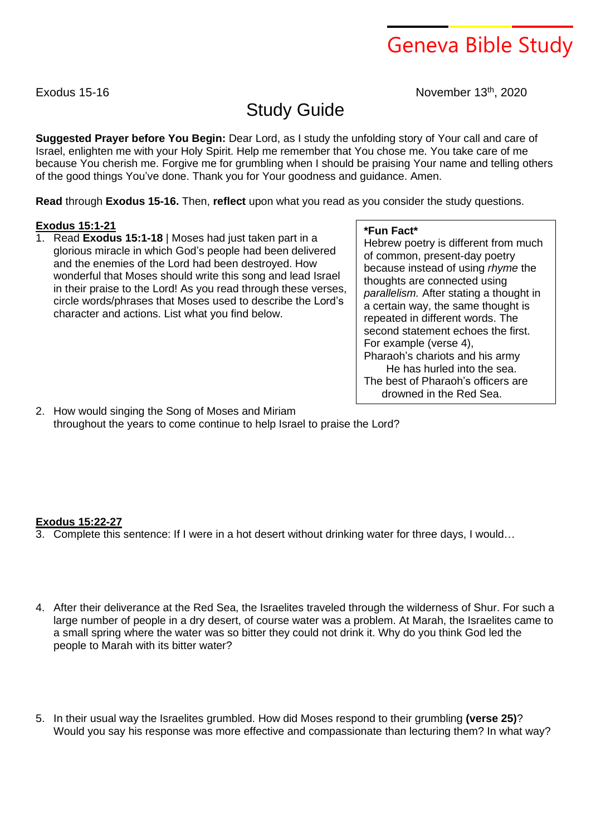# Geneva Bible Study

Exodus 15-16 **November 13th**, 2020

# Study Guide

**Suggested Prayer before You Begin:** Dear Lord, as I study the unfolding story of Your call and care of Israel, enlighten me with your Holy Spirit. Help me remember that You chose me. You take care of me because You cherish me. Forgive me for grumbling when I should be praising Your name and telling others of the good things You've done. Thank you for Your goodness and guidance. Amen.

**Read** through **Exodus 15-16.** Then, **reflect** upon what you read as you consider the study questions.

## **Exodus 15:1-21**

1. Read **Exodus 15:1-18** | Moses had just taken part in a glorious miracle in which God's people had been delivered and the enemies of the Lord had been destroyed. How wonderful that Moses should write this song and lead Israel in their praise to the Lord! As you read through these verses, circle words/phrases that Moses used to describe the Lord's character and actions. List what you find below.

### **\*Fun Fact\***

Hebrew poetry is different from much of common, present-day poetry because instead of using *rhyme* the thoughts are connected using *parallelism.* After stating a thought in a certain way, the same thought is repeated in different words. The second statement echoes the first. For example (verse 4), Pharaoh's chariots and his army He has hurled into the sea. The best of Pharaoh's officers are drowned in the Red Sea.

2. How would singing the Song of Moses and Miriam throughout the years to come continue to help Israel to praise the Lord?

### **Exodus 15:22-27**

3. Complete this sentence: If I were in a hot desert without drinking water for three days, I would…

- 4. After their deliverance at the Red Sea, the Israelites traveled through the wilderness of Shur. For such a large number of people in a dry desert, of course water was a problem. At Marah, the Israelites came to a small spring where the water was so bitter they could not drink it. Why do you think God led the people to Marah with its bitter water?
- 5. In their usual way the Israelites grumbled. How did Moses respond to their grumbling **(verse 25)**? Would you say his response was more effective and compassionate than lecturing them? In what way?